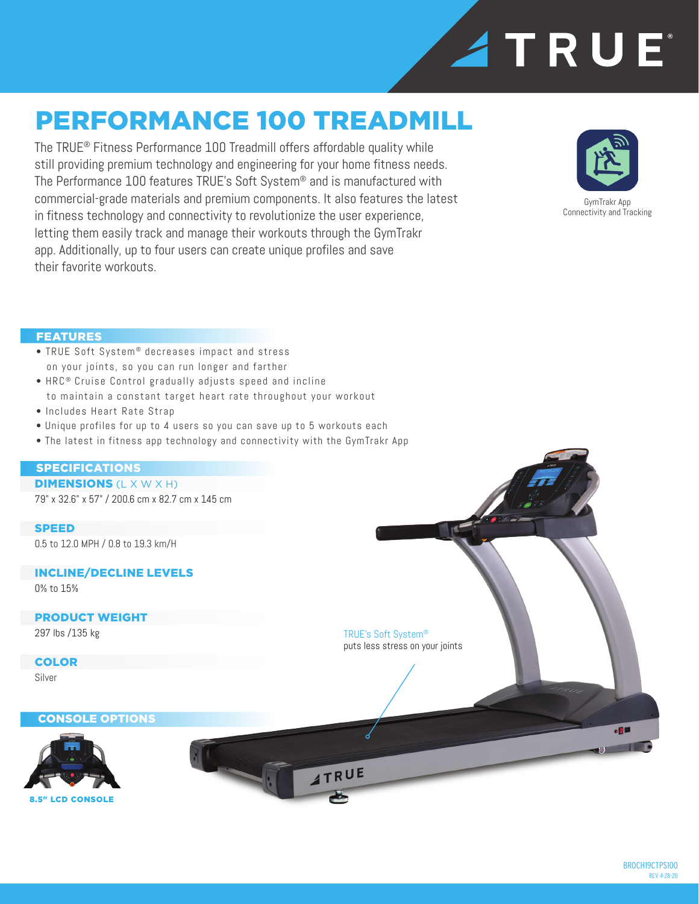

## PERFORMANCE 100 TREADMILL

The TRUE® Fitness Performance 100 Treadmill offers affordable quality while still providing premium technology and engineering for your home fitness needs. The Performance 100 features TRUE's Soft System® and is manufactured with commercial-grade materials and premium components. It also features the latest in fitness technology and connectivity to revolutionize the user experience, letting them easily track and manage their workouts through the GymTrakr app. Additionally, up to four users can create unique profiles and save their favorite workouts.



GymTrakr App Connectivity and Tracking

#### **FEATURES**

- TRUE Soft System ® decreases impact and stress on your joints, so you can run longer and farther
- HRC<sup>®</sup> Cruise Control gradually adjusts speed and incline to maintain a constant target heart rate throughout your workout
- Includes Heart Rate Strap
- Unique profiles for up to 4 users so you can save up to 5 workouts each
- The latest in fitness app technology and connectivity with the GymTrakr App

#### SPECIFICATIONS

DIMENSIONS (L X W X H) 79" x 32.6" x 57" / 200.6 cm x 82.7 cm x 145 cm

SPEED

0.5 to 12.0 MPH / 0.8 to 19.3 km/H

## INCLINE/DECLINE LEVELS

0% to 15%

## PRODUCT WEIGHT

297 lbs /135 kg

## COLOR

Silver

TRUE's Soft System® puts less stress on your joints

**ATRUE** 

### CONSOLE OPTIONS





 $-60$